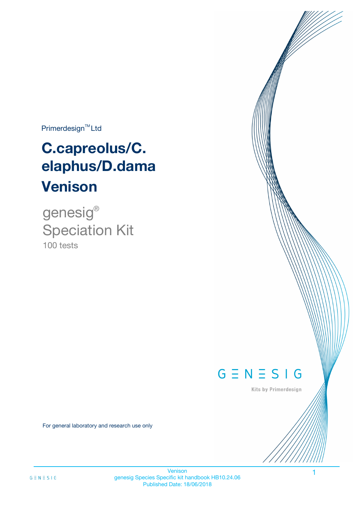Primerdesign<sup>™</sup>Ltd

# **C.capreolus/C. elaphus/D.dama Venison**

100 tests genesig ® Speciation Kit



Kits by Primerdesign

For general laboratory and research use only

Venison genesig Species Specific kit handbook HB10.24.06 Published Date: 18/06/2018

1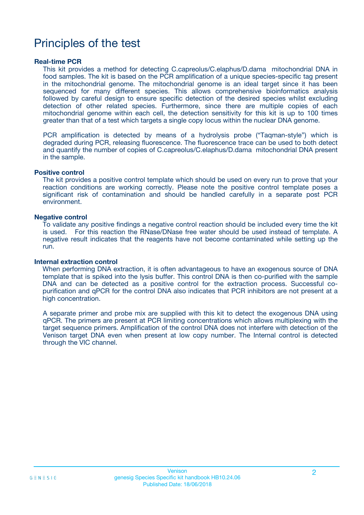## Principles of the test

### **Real-time PCR**

This kit provides a method for detecting C.capreolus/C.elaphus/D.dama mitochondrial DNA in food samples. The kit is based on the PCR amplification of a unique species-specific tag present in the mitochondrial genome. The mitochondrial genome is an ideal target since it has been sequenced for many different species. This allows comprehensive bioinformatics analysis followed by careful design to ensure specific detection of the desired species whilst excluding detection of other related species. Furthermore, since there are multiple copies of each mitochondrial genome within each cell, the detection sensitivity for this kit is up to 100 times greater than that of a test which targets a single copy locus within the nuclear DNA genome.

PCR amplification is detected by means of a hydrolysis probe ("Taqman-style") which is degraded during PCR, releasing fluorescence. The fluorescence trace can be used to both detect and quantify the number of copies of C.capreolus/C.elaphus/D.dama mitochondrial DNA present in the sample.

### **Positive control**

The kit provides a positive control template which should be used on every run to prove that your reaction conditions are working correctly. Please note the positive control template poses a significant risk of contamination and should be handled carefully in a separate post PCR environment.

### **Negative control**

To validate any positive findings a negative control reaction should be included every time the kit is used. For this reaction the RNase/DNase free water should be used instead of template. A negative result indicates that the reagents have not become contaminated while setting up the run.

### **Internal extraction control**

When performing DNA extraction, it is often advantageous to have an exogenous source of DNA template that is spiked into the lysis buffer. This control DNA is then co-purified with the sample DNA and can be detected as a positive control for the extraction process. Successful copurification and qPCR for the control DNA also indicates that PCR inhibitors are not present at a high concentration.

A separate primer and probe mix are supplied with this kit to detect the exogenous DNA using qPCR. The primers are present at PCR limiting concentrations which allows multiplexing with the target sequence primers. Amplification of the control DNA does not interfere with detection of the Venison target DNA even when present at low copy number. The Internal control is detected through the VIC channel.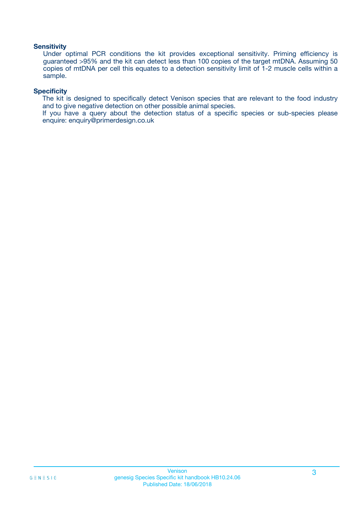### **Sensitivity**

Under optimal PCR conditions the kit provides exceptional sensitivity. Priming efficiency is guaranteed >95% and the kit can detect less than 100 copies of the target mtDNA. Assuming 50 copies of mtDNA per cell this equates to a detection sensitivity limit of 1-2 muscle cells within a sample.

### **Specificity**

The kit is designed to specifically detect Venison species that are relevant to the food industry and to give negative detection on other possible animal species.

If you have a query about the detection status of a specific species or sub-species please enquire: enquiry@primerdesign.co.uk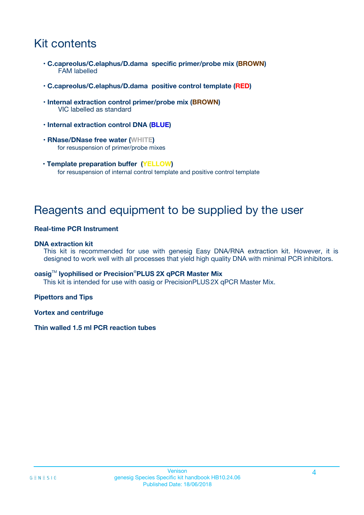## Kit contents

- **C.capreolus/C.elaphus/D.dama specific primer/probe mix (BROWN)** FAM labelled
- **C.capreolus/C.elaphus/D.dama positive control template (RED)**
- **Internal extraction control primer/probe mix (BROWN)** VIC labelled as standard
- **Internal extraction control DNA (BLUE)**
- **RNase/DNase free water (WHITE)** for resuspension of primer/probe mixes
- **Template preparation buffer (YELLOW)** for resuspension of internal control template and positive control template

## Reagents and equipment to be supplied by the user

### **Real-time PCR Instrument**

### **DNA extraction kit**

This kit is recommended for use with genesig Easy DNA/RNA extraction kit. However, it is designed to work well with all processes that yield high quality DNA with minimal PCR inhibitors.

### **oasig**TM **lyophilised or Precision**®**PLUS 2X qPCR Master Mix**

This kit is intended for use with oasig or PrecisionPLUS2X qPCR Master Mix.

### **Pipettors and Tips**

**Vortex and centrifuge**

### **Thin walled 1.5 ml PCR reaction tubes**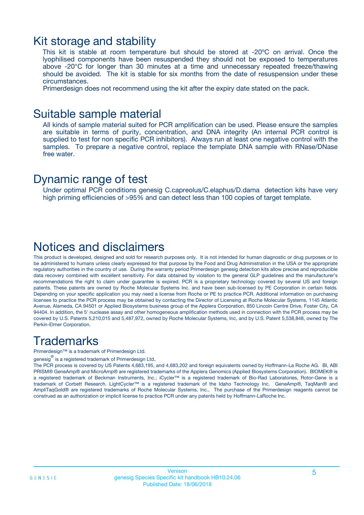### Kit storage and stability

This kit is stable at room temperature but should be stored at -20ºC on arrival. Once the lyophilised components have been resuspended they should not be exposed to temperatures above -20°C for longer than 30 minutes at a time and unnecessary repeated freeze/thawing should be avoided. The kit is stable for six months from the date of resuspension under these circumstances.

Primerdesign does not recommend using the kit after the expiry date stated on the pack.

### Suitable sample material

All kinds of sample material suited for PCR amplification can be used. Please ensure the samples are suitable in terms of purity, concentration, and DNA integrity (An internal PCR control is supplied to test for non specific PCR inhibitors). Always run at least one negative control with the samples. To prepare a negative control, replace the template DNA sample with RNase/DNase free water.

### Dynamic range of test

Under optimal PCR conditions genesig C.capreolus/C.elaphus/D.dama detection kits have very high priming efficiencies of >95% and can detect less than 100 copies of target template.

## Notices and disclaimers

This product is developed, designed and sold for research purposes only. It is not intended for human diagnostic or drug purposes or to be administered to humans unless clearly expressed for that purpose by the Food and Drug Administration in the USA or the appropriate regulatory authorities in the country of use. During the warranty period Primerdesign genesig detection kits allow precise and reproducible data recovery combined with excellent sensitivity. For data obtained by violation to the general GLP guidelines and the manufacturer's recommendations the right to claim under guarantee is expired. PCR is a proprietary technology covered by several US and foreign patents. These patents are owned by Roche Molecular Systems Inc. and have been sub-licensed by PE Corporation in certain fields. Depending on your specific application you may need a license from Roche or PE to practice PCR. Additional information on purchasing licenses to practice the PCR process may be obtained by contacting the Director of Licensing at Roche Molecular Systems, 1145 Atlantic Avenue, Alameda, CA 94501 or Applied Biosystems business group of the Applera Corporation, 850 Lincoln Centre Drive, Foster City, CA 94404. In addition, the 5' nuclease assay and other homogeneous amplification methods used in connection with the PCR process may be covered by U.S. Patents 5,210,015 and 5,487,972, owned by Roche Molecular Systems, Inc, and by U.S. Patent 5,538,848, owned by The Perkin-Elmer Corporation.

## **Trademarks**

Primerdesign™ is a trademark of Primerdesign Ltd.

genesig $^\circledR$  is a registered trademark of Primerdesign Ltd.

The PCR process is covered by US Patents 4,683,195, and 4,683,202 and foreign equivalents owned by Hoffmann-La Roche AG. BI, ABI PRISM® GeneAmp® and MicroAmp® are registered trademarks of the Applera Genomics (Applied Biosystems Corporation). BIOMEK® is a registered trademark of Beckman Instruments, Inc.; iCycler™ is a registered trademark of Bio-Rad Laboratories, Rotor-Gene is a trademark of Corbett Research. LightCycler™ is a registered trademark of the Idaho Technology Inc. GeneAmp®, TaqMan® and AmpliTaqGold® are registered trademarks of Roche Molecular Systems, Inc., The purchase of the Primerdesign reagents cannot be construed as an authorization or implicit license to practice PCR under any patents held by Hoffmann-LaRoche Inc.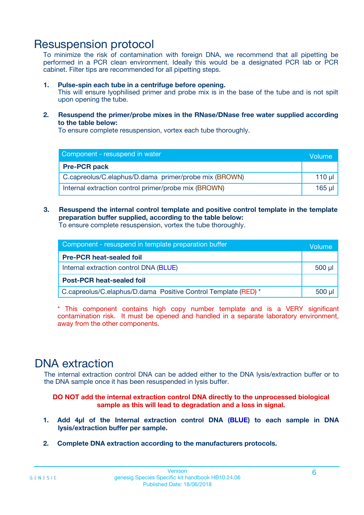## Resuspension protocol

To minimize the risk of contamination with foreign DNA, we recommend that all pipetting be performed in a PCR clean environment. Ideally this would be a designated PCR lab or PCR cabinet. Filter tips are recommended for all pipetting steps.

### **1. Pulse-spin each tube in a centrifuge before opening.**

This will ensure lyophilised primer and probe mix is in the base of the tube and is not spilt upon opening the tube.

**2. Resuspend the primer/probe mixes in the RNase/DNase free water supplied according to the table below:**

To ensure complete resuspension, vortex each tube thoroughly.

| Component - resuspend in water                        |  |  |  |
|-------------------------------------------------------|--|--|--|
| <b>Pre-PCR pack</b>                                   |  |  |  |
| C.capreolus/C.elaphus/D.dama primer/probe mix (BROWN) |  |  |  |
| Internal extraction control primer/probe mix (BROWN)  |  |  |  |

### **3. Resuspend the internal control template and positive control template in the template preparation buffer supplied, according to the table below:**

To ensure complete resuspension, vortex the tube thoroughly.

| Component - resuspend in template preparation buffer           |             |  |
|----------------------------------------------------------------|-------------|--|
| <b>Pre-PCR heat-sealed foil</b>                                |             |  |
| Internal extraction control DNA (BLUE)                         | $500$ $\mu$ |  |
| <b>Post-PCR heat-sealed foil</b>                               |             |  |
| C.capreolus/C.elaphus/D.dama Positive Control Template (RED) * |             |  |

\* This component contains high copy number template and is a VERY significant contamination risk. It must be opened and handled in a separate laboratory environment, away from the other components.

## DNA extraction

The internal extraction control DNA can be added either to the DNA lysis/extraction buffer or to the DNA sample once it has been resuspended in lysis buffer.

**DO NOT add the internal extraction control DNA directly to the unprocessed biological sample as this will lead to degradation and a loss in signal.**

- **1. Add 4µl of the Internal extraction control DNA (BLUE) to each sample in DNA lysis/extraction buffer per sample.**
- **2. Complete DNA extraction according to the manufacturers protocols.**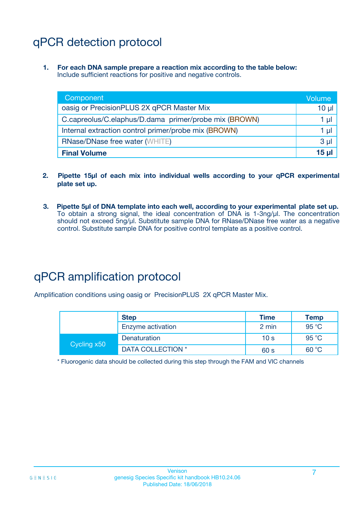## qPCR detection protocol

**1. For each DNA sample prepare a reaction mix according to the table below:** Include sufficient reactions for positive and negative controls.

| Component                                             | Volume         |
|-------------------------------------------------------|----------------|
| oasig or PrecisionPLUS 2X qPCR Master Mix             | $10 \mu$       |
| C.capreolus/C.elaphus/D.dama primer/probe mix (BROWN) | 1 µl           |
| Internal extraction control primer/probe mix (BROWN)  | 1 µl           |
| <b>RNase/DNase free water (WHITE)</b>                 | 3 <sub>µ</sub> |
| <b>Final Volume</b>                                   | <b>15 ul</b>   |

- **2. Pipette 15µl of each mix into individual wells according to your qPCR experimental plate set up.**
- **3. Pipette 5µl of DNA template into each well, according to your experimental plate set up.** To obtain a strong signal, the ideal concentration of DNA is 1-3ng/µl. The concentration should not exceed 5ng/µl. Substitute sample DNA for RNase/DNase free water as a negative control. Substitute sample DNA for positive control template as a positive control.

## qPCR amplification protocol

Amplification conditions using oasig or PrecisionPLUS 2X qPCR Master Mix.

|             | <b>Step</b>       | <b>Time</b>     | Temp           |
|-------------|-------------------|-----------------|----------------|
|             | Enzyme activation | 2 min           | 95 °C          |
| Cycling x50 | Denaturation      | 10 <sub>s</sub> | 95 $\degree$ C |
|             | DATA COLLECTION * | 60 s            | 60 °C          |

\* Fluorogenic data should be collected during this step through the FAM and VIC channels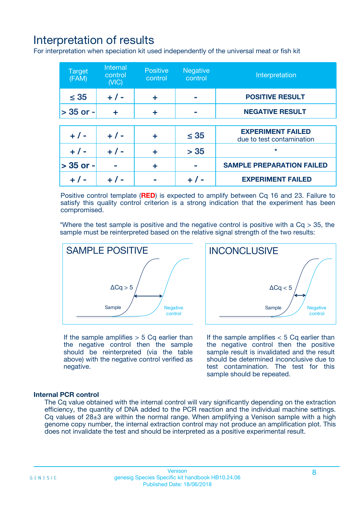## Interpretation of results

For interpretation when speciation kit used independently of the universal meat or fish kit

| <b>Target</b><br>(FAM) | <b>Internal</b><br>control<br>(VIC) | <b>Positive</b><br>control | <b>Negative</b><br>control | Interpretation                                        |
|------------------------|-------------------------------------|----------------------------|----------------------------|-------------------------------------------------------|
| $\leq 35$              | $+ 1 -$                             | ÷                          |                            | <b>POSITIVE RESULT</b>                                |
| $> 35$ or -            | ÷                                   | ÷                          |                            | <b>NEGATIVE RESULT</b>                                |
|                        |                                     |                            |                            |                                                       |
| $+ 1 -$                | $+ 1 -$                             | ÷                          | $\leq 35$                  | <b>EXPERIMENT FAILED</b><br>due to test contamination |
| $+ 1 -$                | $+ 1 -$                             | ٠                          | > 35                       | $\star$                                               |
| $> 35$ or -            |                                     | ÷                          |                            | <b>SAMPLE PREPARATION FAILED</b>                      |
|                        |                                     |                            |                            | <b>EXPERIMENT FAILED</b>                              |

Positive control template (**RED**) is expected to amplify between Cq 16 and 23. Failure to satisfy this quality control criterion is a strong indication that the experiment has been compromised.

\*Where the test sample is positive and the negative control is positive with a  $Ca > 35$ , the sample must be reinterpreted based on the relative signal strength of the two results:



If the sample amplifies  $> 5$  Cq earlier than the negative control then the sample should be reinterpreted (via the table above) with the negative control verified as negative.

Sample  $/$  / Negative control  $\Delta$ Ca < 5 **INCONCLUSIVE** 

If the sample amplifies  $< 5$  Cq earlier than the negative control then the positive sample result is invalidated and the result should be determined inconclusive due to test contamination. The test for this sample should be repeated.

### **Internal PCR control**

The Cq value obtained with the internal control will vary significantly depending on the extraction efficiency, the quantity of DNA added to the PCR reaction and the individual machine settings. Cq values of  $28\pm3$  are within the normal range. When amplifying a Venison sample with a high genome copy number, the internal extraction control may not produce an amplification plot. This does not invalidate the test and should be interpreted as a positive experimental result.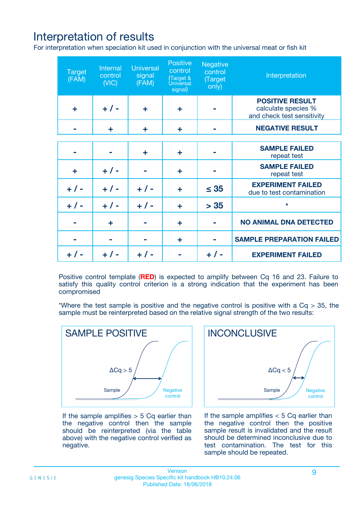## Interpretation of results

For interpretation when speciation kit used in conjunction with the universal meat or fish kit

| <b>Target</b><br>(FAM) | Internal<br>control<br>(NIC) | <b>Universal</b><br>signal<br>(FAM) | Positive<br>control<br>(Target &<br><b>Universal</b><br>signal) | <b>Negative</b><br>control<br>(Target<br>only) | Interpretation                                                              |
|------------------------|------------------------------|-------------------------------------|-----------------------------------------------------------------|------------------------------------------------|-----------------------------------------------------------------------------|
| ÷                      | $+$ / -                      | ÷                                   | ÷                                                               |                                                | <b>POSITIVE RESULT</b><br>calculate species %<br>and check test sensitivity |
|                        | ٠                            | ÷                                   | ÷                                                               |                                                | <b>NEGATIVE RESULT</b>                                                      |
|                        |                              |                                     |                                                                 |                                                |                                                                             |
|                        |                              | ÷                                   | ÷                                                               |                                                | <b>SAMPLE FAILED</b><br>repeat test                                         |
| ÷                      | $+ 1 -$                      |                                     | ÷                                                               |                                                | <b>SAMPLE FAILED</b><br>repeat test                                         |
| $+/-$                  | $+$ / -                      | $+/-$                               | ÷                                                               | $\leq 35$                                      | <b>EXPERIMENT FAILED</b><br>due to test contamination                       |
| $+ 1 -$                | $+$ / -                      | $+ 1 -$                             | ÷                                                               | > 35                                           | $\star$                                                                     |
|                        | ÷                            |                                     | ÷                                                               |                                                | <b>NO ANIMAL DNA DETECTED</b>                                               |
|                        |                              |                                     | ÷                                                               |                                                | <b>SAMPLE PREPARATION FAILED</b>                                            |
| $+  / -$               | $+ 1 -$                      |                                     |                                                                 |                                                | <b>EXPERIMENT FAILED</b>                                                    |

Positive control template (**RED**) is expected to amplify between Cq 16 and 23. Failure to satisfy this quality control criterion is a strong indication that the experiment has been compromised

\*Where the test sample is positive and the negative control is positive with a  $Cq > 35$ , the sample must be reinterpreted based on the relative signal strength of the two results:



If the sample amplifies  $> 5$  Cq earlier than the negative control then the sample should be reinterpreted (via the table above) with the negative control verified as negative.



If the sample amplifies  $< 5$  Cq earlier than the negative control then the positive sample result is invalidated and the result should be determined inconclusive due to test contamination. The test for this sample should be repeated.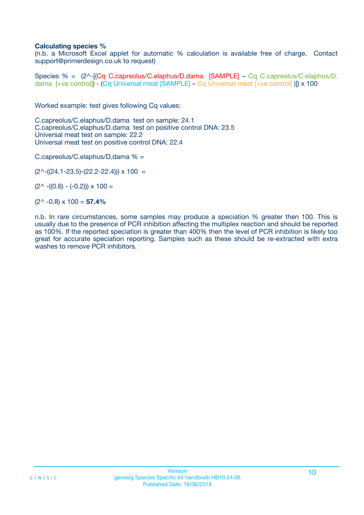### **Calculating species %**

(n.b. a Microsoft Excel applet for automatic % calculation is available free of charge. Contact support@primerdesign.co.uk to request)

Species % = (2^-[(Cq C.capreolus/C.elaphus/D.dama [SAMPLE] – Cq C.capreolus/C.elaphus/D. dama [+ve control]) - (Cq Universal meat [SAMPLE] – Cq Universal meat [+ve control] )]) x 100

Worked example: test gives following Cq values:

C.capreolus/C.elaphus/D.dama test on sample: 24.1 C.capreolus/C.elaphus/D.dama test on positive control DNA: 23.5 Universal meat test on sample: 22.2 Universal meat test on positive control DNA: 22.4

C.capreolus/C.elaphus/D.dama % =

 $(2^{\wedge}-(24.1-23.5)-(22.2-22.4))) \times 100 =$ 

 $(2^{\wedge}$  -((0.6) - (-0.2)))  $\times$  100 =

(2^ -0.8) x 100 = **57.4%**

n.b. In rare circumstances, some samples may produce a speciation % greater then 100. This is usually due to the presence of PCR inhibition affecting the multiplex reaction and should be reported as 100%. If the reported speciation is greater than 400% then the level of PCR inhibition is likely too great for accurate speciation reporting. Samples such as these should be re-extracted with extra washes to remove PCR inhibitors.